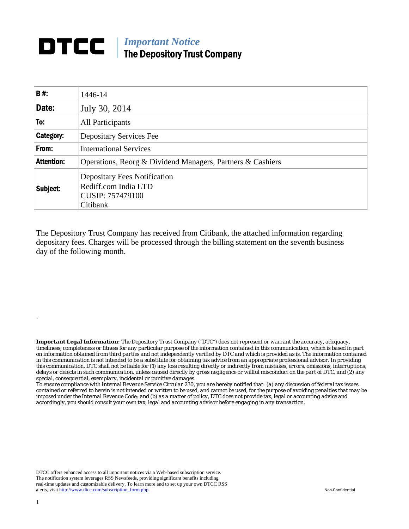## **DTCC** | *Important Notice* The Depository Trust Company

| <b>B#:</b>        | 1446-14                                                                                     |  |  |  |
|-------------------|---------------------------------------------------------------------------------------------|--|--|--|
| Date:             | July 30, 2014                                                                               |  |  |  |
| To:               | All Participants                                                                            |  |  |  |
| Category:         | Depositary Services Fee                                                                     |  |  |  |
| From:             | <b>International Services</b>                                                               |  |  |  |
| <b>Attention:</b> | Operations, Reorg & Dividend Managers, Partners & Cashiers                                  |  |  |  |
| Subject:          | <b>Depositary Fees Notification</b><br>Rediff.com India LTD<br>CUSIP: 757479100<br>Citibank |  |  |  |

The Depository Trust Company has received from Citibank, the attached information regarding depositary fees. Charges will be processed through the billing statement on the seventh business day of the following month.

*Important Legal Information: The Depository Trust Company ("DTC") does not represent or warrant the accuracy, adequacy, timeliness, completeness or fitness for any particular purpose of the information contained in this communication, which is based in part on information obtained from third parties and not independently verified by DTC and which is provided as is. The information contained in this communication is not intended to be a substitute for obtaining tax advice from an appropriate professional advisor. In providing this communication, DTC shall not be liable for (1) any loss resulting directly or indirectly from mistakes, errors, omissions, interruptions, delays or defects in such communication, unless caused directly by gross negligence or willful misconduct on the part of DTC, and (2) any special, consequential, exemplary, incidental or punitive damages.* 

*To ensure compliance with Internal Revenue Service Circular 230, you are hereby notified that: (a) any discussion of federal tax issues contained or referred to herein is not intended or written to be used, and cannot be used, for the purpose of avoiding penalties that may be imposed under the Internal Revenue Code; and (b) as a matter of policy, DTC does not provide tax, legal or accounting advice and accordingly, you should consult your own tax, legal and accounting advisor before engaging in any transaction.*

DTCC offers enhanced access to all important notices via a Web-based subscription service. The notification system leverages RSS Newsfeeds, providing significant benefits including real-time updates and customizable delivery. To learn more and to set up your own DTCC RSS alerts, visit http://www.dtcc.com/subscription\_form.php. Non-Confidential

.